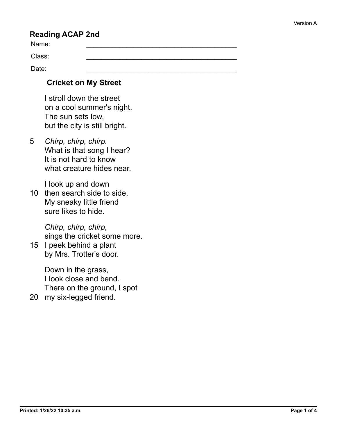## **Reading ACAP 2nd**

Name: \_\_\_\_\_\_\_\_\_\_\_\_\_\_\_\_\_\_\_\_\_\_\_\_\_\_\_\_\_\_\_\_\_\_\_\_\_\_\_\_\_

Class: \_\_\_\_\_\_\_\_\_\_\_\_\_\_\_\_\_\_\_\_\_\_\_\_\_\_\_\_\_\_\_\_\_\_\_\_\_\_\_\_\_

Date: \_\_\_\_\_\_\_\_\_\_\_\_\_\_\_\_\_\_\_\_\_\_\_\_\_\_\_\_\_\_\_\_\_\_\_\_\_\_\_\_\_

## **Cricket on My Street**

 I stroll down the street on a cool summer's night. The sun sets low, but the city is still bright.

5 *Chirp, chirp, chirp.* What is that song I hear? It is not hard to know what creature hides near.

I look up and down

10 then search side to side. My sneaky little friend sure likes to hide.

> *Chirp, chirp, chirp,* sings the cricket some more.

15 I peek behind a plant by Mrs. Trotter's door.

> Down in the grass, I look close and bend. There on the ground, I spot

20 my six-legged friend.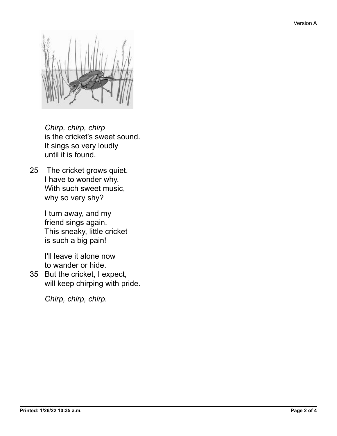

 *Chirp, chirp, chirp* is the cricket's sweet sound. It sings so very loudly until it is found.

25 The cricket grows quiet. I have to wonder why. With such sweet music, why so very shy?

> I turn away, and my friend sings again. This sneaky, little cricket is such a big pain!

 I'll leave it alone now to wander or hide.

35 But the cricket, I expect, will keep chirping with pride.

 *Chirp, chirp, chirp.*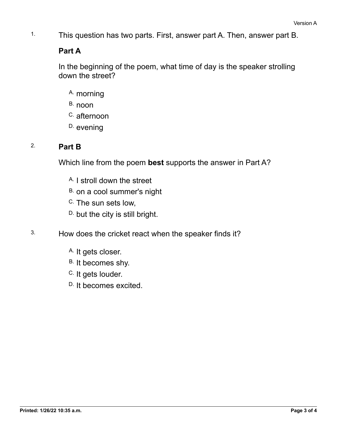1. This question has two parts. First, answer part A. Then, answer part B.

## **Part A**

In the beginning of the poem, what time of day is the speaker strolling down the street?

- A. morning
- B. noon
- C. afternoon
- D. evening

## 2. **Part B**

Which line from the poem **best** supports the answer in Part A?

- A. I stroll down the street
- B. on a cool summer's night
- C. The sun sets low,
- D. but the city is still bright.
- 3. How does the cricket react when the speaker finds it?
	- A. It gets closer.
	- B. It becomes shy.
	- C. It gets louder.
	- D. It becomes excited.